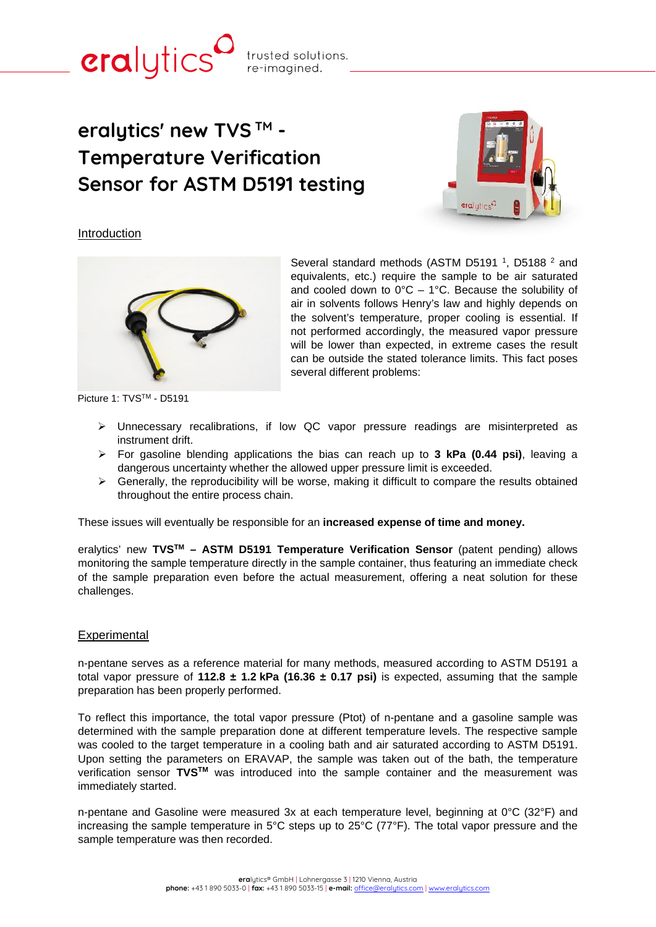# **eralytics' new TVS TM - Temperature Verification Sensor for ASTM D5191 testing**

trusted solutions. re-imagined.



### Introduction

cralytics



Picture 1: TVS™ - D5191

Several standard methods (ASTM D5191<sup>1</sup>, D5188<sup>2</sup> and equivalents, etc.) require the sample to be air saturated and cooled down to  $0^{\circ}C - 1^{\circ}C$ . Because the solubility of air in solvents follows Henry's law and highly depends on the solvent's temperature, proper cooling is essential. If not performed accordingly, the measured vapor pressure will be lower than expected, in extreme cases the result can be outside the stated tolerance limits. This fact poses several different problems:

- Unnecessary recalibrations, if low QC vapor pressure readings are misinterpreted as instrument drift.
- For gasoline blending applications the bias can reach up to **3 kPa (0.44 psi)**, leaving a dangerous uncertainty whether the allowed upper pressure limit is exceeded.
- $\triangleright$  Generally, the reproducibility will be worse, making it difficult to compare the results obtained throughout the entire process chain.

These issues will eventually be responsible for an **increased expense of time and money.**

eralytics' new **TVSTM – ASTM D5191 Temperature Verification Sensor** (patent pending) allows monitoring the sample temperature directly in the sample container, thus featuring an immediate check of the sample preparation even before the actual measurement, offering a neat solution for these challenges.

### Experimental

n-pentane serves as a reference material for many methods, measured according to ASTM D5191 a total vapor pressure of **112.8 ± 1.2 kPa (16.36 ± 0.17 psi)** is expected, assuming that the sample preparation has been properly performed.

To reflect this importance, the total vapor pressure (Ptot) of n-pentane and a gasoline sample was determined with the sample preparation done at different temperature levels. The respective sample was cooled to the target temperature in a cooling bath and air saturated according to ASTM D5191. Upon setting the parameters on ERAVAP, the sample was taken out of the bath, the temperature verification sensor **TVSTM** was introduced into the sample container and the measurement was immediately started.

n-pentane and Gasoline were measured 3x at each temperature level, beginning at 0°C (32°F) and increasing the sample temperature in 5°C steps up to 25°C (77°F). The total vapor pressure and the sample temperature was then recorded.